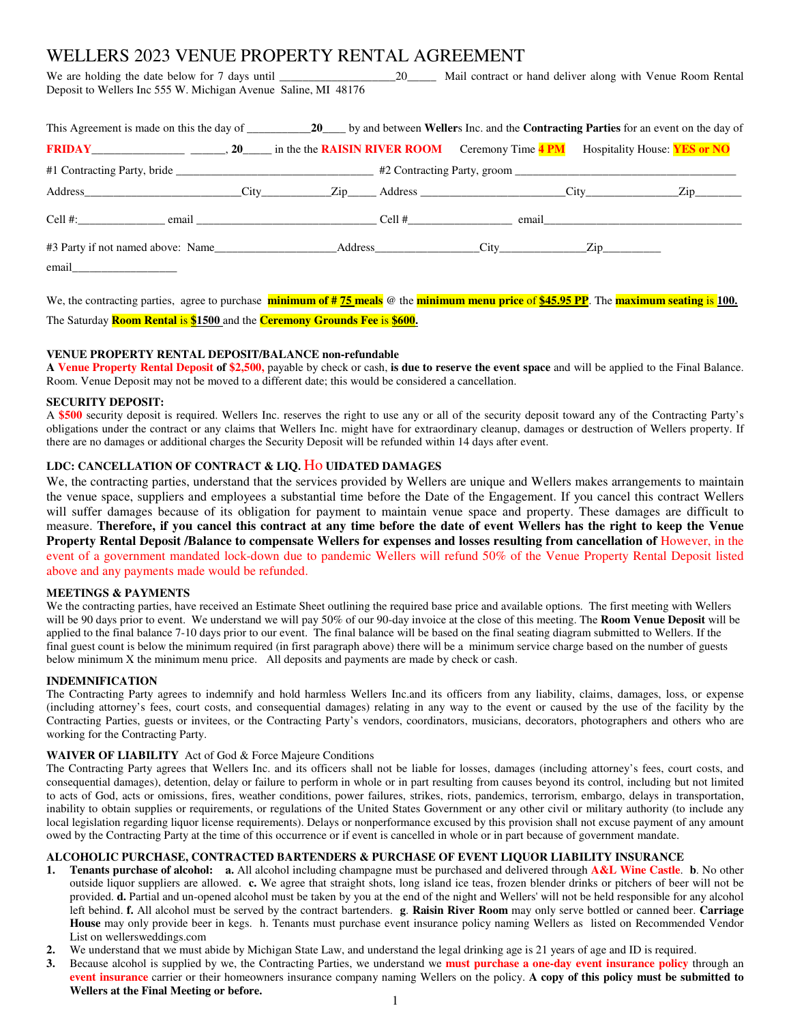# WELLERS 2023 VENUE PROPERTY RENTAL AGREEMENT

We are holding the date below for 7 days until \_\_\_\_\_\_\_\_\_\_\_\_\_\_\_\_\_\_\_\_\_\_\_\_\_\_\_\_\_\_\_\_\_ Mail contract or hand deliver along with Venue Room Rental Deposit to Wellers Inc 555 W. Michigan Avenue Saline, MI 48176

| <b>FRIDAY</b> CHERAL CHANGE 20 THE SET ON THE <b>PRISH RIVER ROOM</b> Ceremony Time <b>4 PM</b> Hospitality House: <b>YES or NO</b> |  |  |  |
|-------------------------------------------------------------------------------------------------------------------------------------|--|--|--|
|                                                                                                                                     |  |  |  |
|                                                                                                                                     |  |  |  |
|                                                                                                                                     |  |  |  |
|                                                                                                                                     |  |  |  |
|                                                                                                                                     |  |  |  |

We, the contracting parties, agree to purchase **minimum of # 75 meals** @ the **minimum menu price** of **\$45.95 PP**. The **maximum seating** is **100.**

The Saturday **Room Rental** is **\$1500** and the **Ceremony Grounds Fee** is **\$600.**

# **VENUE PROPERTY RENTAL DEPOSIT/BALANCE non-refundable**

**A Venue Property Rental Deposit of \$2,500,** payable by check or cash, **is due to reserve the event space** and will be applied to the Final Balance. Room. Venue Deposit may not be moved to a different date; this would be considered a cancellation.

## **SECURITY DEPOSIT:**

A **\$500** security deposit is required. Wellers Inc. reserves the right to use any or all of the security deposit toward any of the Contracting Party's obligations under the contract or any claims that Wellers Inc. might have for extraordinary cleanup, damages or destruction of Wellers property. If there are no damages or additional charges the Security Deposit will be refunded within 14 days after event.

# **LDC: CANCELLATION OF CONTRACT & LIQ.** Ho **UIDATED DAMAGES**

We, the contracting parties, understand that the services provided by Wellers are unique and Wellers makes arrangements to maintain the venue space, suppliers and employees a substantial time before the Date of the Engagement. If you cancel this contract Wellers will suffer damages because of its obligation for payment to maintain venue space and property. These damages are difficult to measure. **Therefore, if you cancel this contract at any time before the date of event Wellers has the right to keep the Venue Property Rental Deposit /Balance to compensate Wellers for expenses and losses resulting from cancellation of However, in the** event of a government mandated lock-down due to pandemic Wellers will refund 50% of the Venue Property Rental Deposit listed above and any payments made would be refunded.

### **MEETINGS & PAYMENTS**

We the contracting parties, have received an Estimate Sheet outlining the required base price and available options. The first meeting with Wellers will be 90 days prior to event. We understand we will pay 50% of our 90-day invoice at the close of this meeting. The **Room Venue Deposit** will be applied to the final balance 7-10 days prior to our event. The final balance will be based on the final seating diagram submitted to Wellers. If the final guest count is below the minimum required (in first paragraph above) there will be a minimum service charge based on the number of guests below minimum X the minimum menu price. All deposits and payments are made by check or cash.

### **INDEMNIFICATION**

The Contracting Party agrees to indemnify and hold harmless Wellers Inc.and its officers from any liability, claims, damages, loss, or expense (including attorney's fees, court costs, and consequential damages) relating in any way to the event or caused by the use of the facility by the Contracting Parties, guests or invitees, or the Contracting Party's vendors, coordinators, musicians, decorators, photographers and others who are working for the Contracting Party.

# **WAIVER OF LIABILITY** Act of God & Force Majeure Conditions

The Contracting Party agrees that Wellers Inc. and its officers shall not be liable for losses, damages (including attorney's fees, court costs, and consequential damages), detention, delay or failure to perform in whole or in part resulting from causes beyond its control, including but not limited to acts of God, acts or omissions, fires, weather conditions, power failures, strikes, riots, pandemics, terrorism, embargo, delays in transportation, inability to obtain supplies or requirements, or regulations of the United States Government or any other civil or military authority (to include any local legislation regarding liquor license requirements). Delays or nonperformance excused by this provision shall not excuse payment of any amount owed by the Contracting Party at the time of this occurrence or if event is cancelled in whole or in part because of government mandate.

# **ALCOHOLIC PURCHASE, CONTRACTED BARTENDERS & PURCHASE OF EVENT LIQUOR LIABILITY INSURANCE**

- **1. Tenants purchase of alcohol: a.** All alcohol including champagne must be purchased and delivered through **A&L Wine Castle**. **b**. No other outside liquor suppliers are allowed. **c.** We agree that straight shots, long island ice teas, frozen blender drinks or pitchers of beer will not be provided. **d.** Partial and un-opened alcohol must be taken by you at the end of the night and Wellers' will not be held responsible for any alcohol left behind. **f.** All alcohol must be served by the contract bartenders. **g**. **Raisin River Room** may only serve bottled or canned beer. **Carriage House** may only provide beer in kegs. h. Tenants must purchase event insurance policy naming Wellers as listed on Recommended Vendor List on wellersweddings.com
- **2.** We understand that we must abide by Michigan State Law, and understand the legal drinking age is 21 years of age and ID is required.
- **3.** Because alcohol is supplied by we, the Contracting Parties, we understand we **must purchase a one-day event insurance policy** through an **event insurance** carrier or their homeowners insurance company naming Wellers on the policy. **A copy of this policy must be submitted to**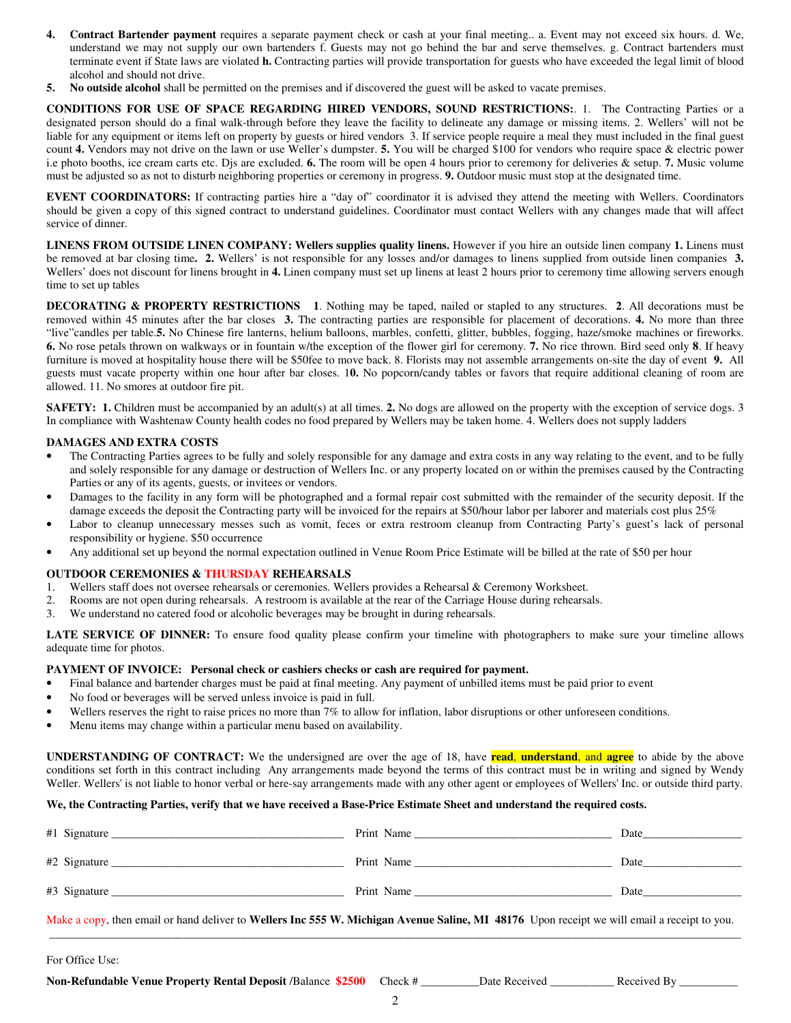- **4. Contract Bartender payment** requires a separate payment check or cash at your final meeting.. a. Event may not exceed six hours. d. We, understand we may not supply our own bartenders f. Guests may not go behind the bar and serve themselves. g. Contract bartenders must terminate event if State laws are violated **h.** Contracting parties will provide transportation for guests who have exceeded the legal limit of blood alcohol and should not drive.
- **5. No outside alcohol** shall be permitted on the premises and if discovered the guest will be asked to vacate premises.

**CONDITIONS FOR USE OF SPACE REGARDING HIRED VENDORS, SOUND RESTRICTIONS:**. 1. The Contracting Parties or a designated person should do a final walk-through before they leave the facility to delineate any damage or missing items. 2. Wellers' will not be liable for any equipment or items left on property by guests or hired vendors 3. If service people require a meal they must included in the final guest count **4.** Vendors may not drive on the lawn or use Weller's dumpster. **5.** You will be charged \$100 for vendors who require space & electric power i.e photo booths, ice cream carts etc. Djs are excluded. **6.** The room will be open 4 hours prior to ceremony for deliveries & setup. **7.** Music volume must be adjusted so as not to disturb neighboring properties or ceremony in progress. **9.** Outdoor music must stop at the designated time.

**EVENT COORDINATORS:** If contracting parties hire a "day of" coordinator it is advised they attend the meeting with Wellers. Coordinators should be given a copy of this signed contract to understand guidelines. Coordinator must contact Wellers with any changes made that will affect service of dinner.

**LINENS FROM OUTSIDE LINEN COMPANY: Wellers supplies quality linens.** However if you hire an outside linen company 1. Linens must be removed at bar closing time**. 2.** Wellers' is not responsible for any losses and/or damages to linens supplied from outside linen companies **3.** Wellers' does not discount for linens brought in 4. Linen company must set up linens at least 2 hours prior to ceremony time allowing servers enough time to set up tables

**DECORATING & PROPERTY RESTRICTIONS 1**. Nothing may be taped, nailed or stapled to any structures. **2**. All decorations must be removed within 45 minutes after the bar closes **3.** The contracting parties are responsible for placement of decorations. **4.** No more than three "live"candles per table.**5.** No Chinese fire lanterns, helium balloons, marbles, confetti, glitter, bubbles, fogging, haze/smoke machines or fireworks. **6.** No rose petals thrown on walkways or in fountain w/the exception of the flower girl for ceremony. **7.** No rice thrown. Bird seed only **8**. If heavy furniture is moved at hospitality house there will be \$50fee to move back. 8. Florists may not assemble arrangements on-site the day of event **9.** All guests must vacate property within one hour after bar closes. 1**0.** No popcorn/candy tables or favors that require additional cleaning of room are allowed. 11. No smores at outdoor fire pit.

**SAFETY: 1.** Children must be accompanied by an adult(s) at all times. 2. No dogs are allowed on the property with the exception of service dogs. 3 In compliance with Washtenaw County health codes no food prepared by Wellers may be taken home. 4. Wellers does not supply ladders

#### **DAMAGES AND EXTRA COSTS**

- The Contracting Parties agrees to be fully and solely responsible for any damage and extra costs in any way relating to the event, and to be fully and solely responsible for any damage or destruction of Wellers Inc. or any property located on or within the premises caused by the Contracting Parties or any of its agents, guests, or invitees or vendors.
- Damages to the facility in any form will be photographed and a formal repair cost submitted with the remainder of the security deposit. If the damage exceeds the deposit the Contracting party will be invoiced for the repairs at \$50/hour labor per laborer and materials cost plus 25%
- Labor to cleanup unnecessary messes such as vomit, feces or extra restroom cleanup from Contracting Party's guest's lack of personal responsibility or hygiene. \$50 occurrence
- Any additional set up beyond the normal expectation outlined in Venue Room Price Estimate will be billed at the rate of \$50 per hour

#### **OUTDOOR CEREMONIES & THURSDAY REHEARSALS**

- 1. Wellers staff does not oversee rehearsals or ceremonies. Wellers provides a Rehearsal & Ceremony Worksheet.
- 2. Rooms are not open during rehearsals. A restroom is available at the rear of the Carriage House during rehearsals.
- 3. We understand no catered food or alcoholic beverages may be brought in during rehearsals.

**LATE SERVICE OF DINNER:** To ensure food quality please confirm your timeline with photographers to make sure your timeline allows adequate time for photos.

## **PAYMENT OF INVOICE: Personal check or cashiers checks or cash are required for payment.**

- Final balance and bartender charges must be paid at final meeting. Any payment of unbilled items must be paid prior to event
- No food or beverages will be served unless invoice is paid in full.
- Wellers reserves the right to raise prices no more than 7% to allow for inflation, labor disruptions or other unforeseen conditions.
- Menu items may change within a particular menu based on availability.

**UNDERSTANDING OF CONTRACT:** We the undersigned are over the age of 18, have **read**, **understand**, and **agree** to abide by the above conditions set forth in this contract including Any arrangements made beyond the terms of this contract must be in writing and signed by Wendy Weller. Wellers' is not liable to honor verbal or here-say arrangements made with any other agent or employees of Wellers' Inc. or outside third party.

### **We, the Contracting Parties, verify that we have received a Base-Price Estimate Sheet and understand the required costs.**

| $#1$ Signature | Print Name | Date |
|----------------|------------|------|
| #2 Signature   | Print Name | Date |
| #3 Signature   | Print Name | Date |

Make a copy, then email or hand deliver to **Wellers Inc 555 W. Michigan Avenue Saline, MI 48176** Upon receipt we will email a receipt to you. **\_\_\_\_\_\_\_\_\_\_\_\_\_\_\_\_\_\_\_\_\_\_\_\_\_\_\_\_\_\_\_\_\_\_\_\_\_\_\_\_\_\_\_\_\_\_\_\_\_\_\_\_\_\_\_\_\_\_\_\_\_\_\_\_\_\_\_\_\_\_\_\_\_\_\_\_\_\_\_\_\_\_\_\_\_\_\_\_\_\_\_\_\_\_\_\_\_\_\_\_\_\_\_\_\_\_\_\_\_\_\_\_\_\_\_\_\_\_\_**

For Office Use:

| Non-Refundable Venue Property Rental Deposit /Balance \$2500 Check # |  | Date Received | Received By |  |
|----------------------------------------------------------------------|--|---------------|-------------|--|
|----------------------------------------------------------------------|--|---------------|-------------|--|